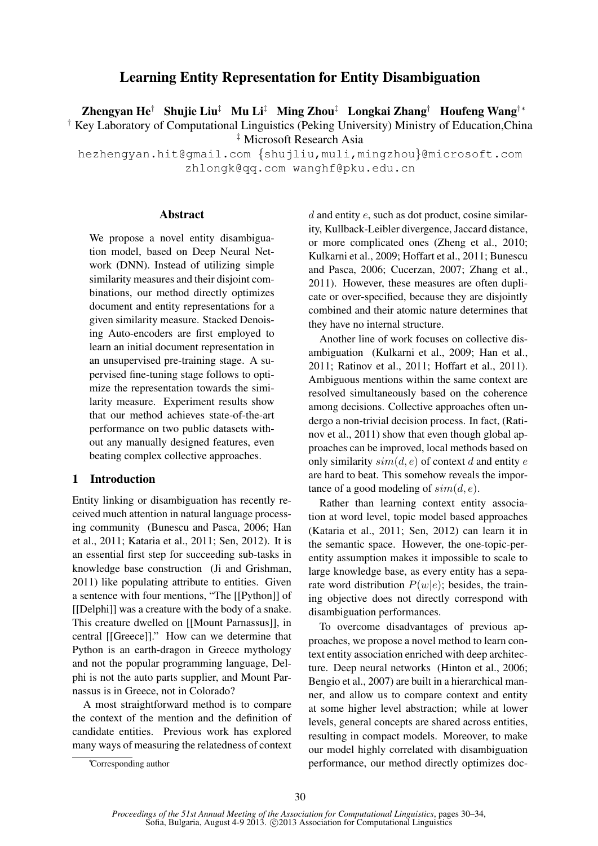# Learning Entity Representation for Entity Disambiguation

Zhengyan He† Shujie Liu‡ Mu Li‡ Ming Zhou‡ Longkai Zhang† Houfeng Wang†∗

† Key Laboratory of Computational Linguistics (Peking University) Ministry of Education,China ‡ Microsoft Research Asia

hezhengyan.hit@gmail.com {shujliu,muli,mingzhou}@microsoft.com zhlongk@qq.com wanghf@pku.edu.cn

# Abstract

We propose a novel entity disambiguation model, based on Deep Neural Network (DNN). Instead of utilizing simple similarity measures and their disjoint combinations, our method directly optimizes document and entity representations for a given similarity measure. Stacked Denoising Auto-encoders are first employed to learn an initial document representation in an unsupervised pre-training stage. A supervised fine-tuning stage follows to optimize the representation towards the similarity measure. Experiment results show that our method achieves state-of-the-art performance on two public datasets without any manually designed features, even beating complex collective approaches.

# 1 Introduction

Entity linking or disambiguation has recently received much attention in natural language processing community (Bunescu and Pasca, 2006; Han et al., 2011; Kataria et al., 2011; Sen, 2012). It is an essential first step for succeeding sub-tasks in knowledge base construction (Ji and Grishman, 2011) like populating attribute to entities. Given a sentence with four mentions, "The [[Python]] of [[Delphi]] was a creature with the body of a snake. This creature dwelled on [[Mount Parnassus]], in central [[Greece]]." How can we determine that Python is an earth-dragon in Greece mythology and not the popular programming language, Delphi is not the auto parts supplier, and Mount Parnassus is in Greece, not in Colorado?

A most straightforward method is to compare the context of the mention and the definition of candidate entities. Previous work has explored many ways of measuring the relatedness of context  $d$  and entity  $e$ , such as dot product, cosine similarity, Kullback-Leibler divergence, Jaccard distance, or more complicated ones (Zheng et al., 2010; Kulkarni et al., 2009; Hoffart et al., 2011; Bunescu and Pasca, 2006; Cucerzan, 2007; Zhang et al., 2011). However, these measures are often duplicate or over-specified, because they are disjointly combined and their atomic nature determines that they have no internal structure.

Another line of work focuses on collective disambiguation (Kulkarni et al., 2009; Han et al., 2011; Ratinov et al., 2011; Hoffart et al., 2011). Ambiguous mentions within the same context are resolved simultaneously based on the coherence among decisions. Collective approaches often undergo a non-trivial decision process. In fact, (Ratinov et al., 2011) show that even though global approaches can be improved, local methods based on only similarity  $sim(d, e)$  of context d and entity e are hard to beat. This somehow reveals the importance of a good modeling of  $sim(d, e)$ .

Rather than learning context entity association at word level, topic model based approaches (Kataria et al., 2011; Sen, 2012) can learn it in the semantic space. However, the one-topic-perentity assumption makes it impossible to scale to large knowledge base, as every entity has a separate word distribution  $P(w|e)$ ; besides, the training objective does not directly correspond with disambiguation performances.

To overcome disadvantages of previous approaches, we propose a novel method to learn context entity association enriched with deep architecture. Deep neural networks (Hinton et al., 2006; Bengio et al., 2007) are built in a hierarchical manner, and allow us to compare context and entity at some higher level abstraction; while at lower levels, general concepts are shared across entities, resulting in compact models. Moreover, to make our model highly correlated with disambiguation performance, our method directly optimizes doc-

<sup>∗</sup>Corresponding author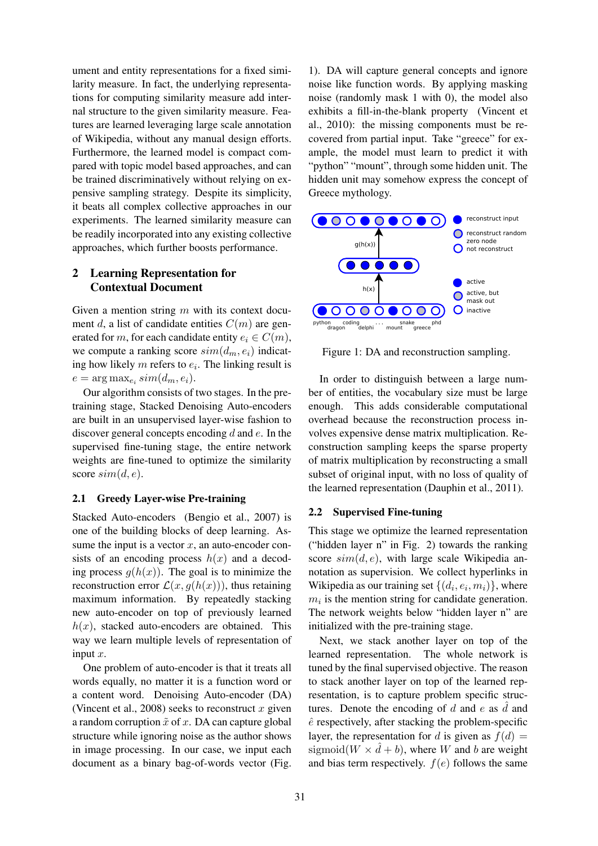ument and entity representations for a fixed similarity measure. In fact, the underlying representations for computing similarity measure add internal structure to the given similarity measure. Features are learned leveraging large scale annotation of Wikipedia, without any manual design efforts. Furthermore, the learned model is compact compared with topic model based approaches, and can be trained discriminatively without relying on expensive sampling strategy. Despite its simplicity, it beats all complex collective approaches in our experiments. The learned similarity measure can be readily incorporated into any existing collective approaches, which further boosts performance.

# 2 Learning Representation for Contextual Document

Given a mention string  $m$  with its context document d, a list of candidate entities  $C(m)$  are generated for m, for each candidate entity  $e_i \in C(m)$ , we compute a ranking score  $sim(d_m, e_i)$  indicating how likely  $m$  refers to  $e_i$ . The linking result is  $e = \arg \max_{e_i} sim(d_m, e_i).$ 

Our algorithm consists of two stages. In the pretraining stage, Stacked Denoising Auto-encoders are built in an unsupervised layer-wise fashion to discover general concepts encoding  $d$  and  $e$ . In the supervised fine-tuning stage, the entire network weights are fine-tuned to optimize the similarity score  $sim(d, e)$ .

# 2.1 Greedy Layer-wise Pre-training

Stacked Auto-encoders (Bengio et al., 2007) is one of the building blocks of deep learning. Assume the input is a vector  $x$ , an auto-encoder consists of an encoding process  $h(x)$  and a decoding process  $g(h(x))$ . The goal is to minimize the reconstruction error  $\mathcal{L}(x, g(h(x)))$ , thus retaining maximum information. By repeatedly stacking new auto-encoder on top of previously learned  $h(x)$ , stacked auto-encoders are obtained. This way we learn multiple levels of representation of input  $x$ .

One problem of auto-encoder is that it treats all words equally, no matter it is a function word or a content word. Denoising Auto-encoder (DA) (Vincent et al., 2008) seeks to reconstruct  $x$  given a random corruption  $\tilde{x}$  of x. DA can capture global structure while ignoring noise as the author shows in image processing. In our case, we input each document as a binary bag-of-words vector (Fig.

1). DA will capture general concepts and ignore noise like function words. By applying masking noise (randomly mask 1 with 0), the model also exhibits a fill-in-the-blank property (Vincent et al., 2010): the missing components must be recovered from partial input. Take "greece" for example, the model must learn to predict it with "python" "mount", through some hidden unit. The hidden unit may somehow express the concept of Greece mythology.



Figure 1: DA and reconstruction sampling.

In order to distinguish between a large number of entities, the vocabulary size must be large enough. This adds considerable computational overhead because the reconstruction process involves expensive dense matrix multiplication. Reconstruction sampling keeps the sparse property of matrix multiplication by reconstructing a small subset of original input, with no loss of quality of the learned representation (Dauphin et al., 2011).

#### 2.2 Supervised Fine-tuning

This stage we optimize the learned representation ("hidden layer n" in Fig. 2) towards the ranking score  $sim(d, e)$ , with large scale Wikipedia annotation as supervision. We collect hyperlinks in Wikipedia as our training set  $\{(d_i, e_i, m_i)\}\$ , where  $m_i$  is the mention string for candidate generation. The network weights below "hidden layer n" are initialized with the pre-training stage.

Next, we stack another layer on top of the learned representation. The whole network is tuned by the final supervised objective. The reason to stack another layer on top of the learned representation, is to capture problem specific structures. Denote the encoding of d and e as  $\hat{d}$  and  $\hat{e}$  respectively, after stacking the problem-specific layer, the representation for d is given as  $f(d) =$ sigmoid( $W \times d + b$ ), where W and b are weight and bias term respectively.  $f(e)$  follows the same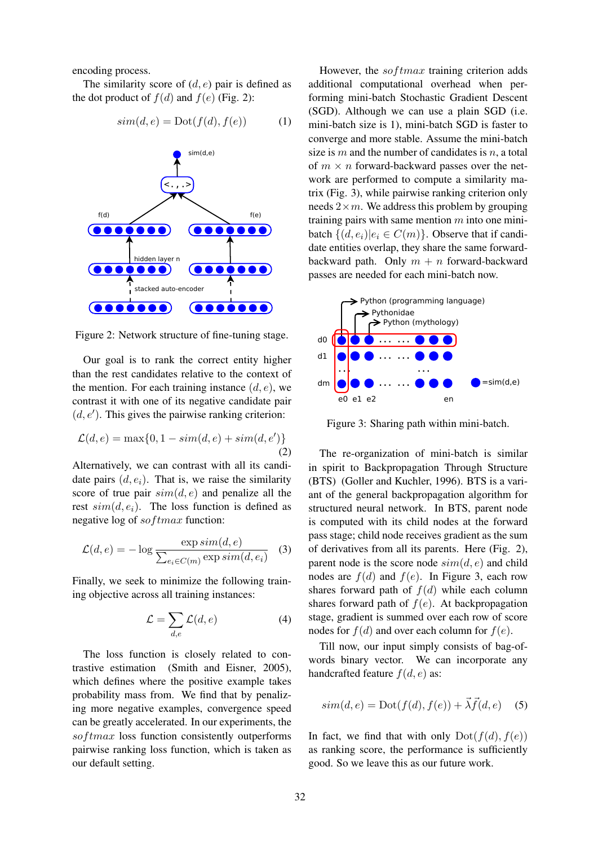encoding process.

The similarity score of  $(d, e)$  pair is defined as the dot product of  $f(d)$  and  $f(e)$  (Fig. 2):

$$
sim(d, e) = \text{Dot}(f(d), f(e))
$$
 (1)



Figure 2: Network structure of fine-tuning stage.

Our goal is to rank the correct entity higher than the rest candidates relative to the context of the mention. For each training instance  $(d, e)$ , we contrast it with one of its negative candidate pair  $(d, e')$ . This gives the pairwise ranking criterion:

$$
\mathcal{L}(d, e) = \max\{0, 1 - sim(d, e) + sim(d, e')\}
$$
\n(2)

Alternatively, we can contrast with all its candidate pairs  $(d, e_i)$ . That is, we raise the similarity score of true pair  $sim(d, e)$  and penalize all the rest  $sim(d, e_i)$ . The loss function is defined as negative log of softmax function:

$$
\mathcal{L}(d, e) = -\log \frac{\exp sim(d, e)}{\sum_{e_i \in C(m)} \exp sim(d, e_i)} \quad (3)
$$

Finally, we seek to minimize the following training objective across all training instances:

$$
\mathcal{L} = \sum_{d,e} \mathcal{L}(d,e) \tag{4}
$$

The loss function is closely related to contrastive estimation (Smith and Eisner, 2005), which defines where the positive example takes probability mass from. We find that by penalizing more negative examples, convergence speed can be greatly accelerated. In our experiments, the  $softmax$  loss function consistently outperforms pairwise ranking loss function, which is taken as our default setting.

However, the  $softmax$  training criterion adds additional computational overhead when performing mini-batch Stochastic Gradient Descent (SGD). Although we can use a plain SGD (i.e. mini-batch size is 1), mini-batch SGD is faster to converge and more stable. Assume the mini-batch size is  $m$  and the number of candidates is  $n$ , a total of  $m \times n$  forward-backward passes over the network are performed to compute a similarity matrix (Fig. 3), while pairwise ranking criterion only needs  $2 \times m$ . We address this problem by grouping training pairs with same mention  $m$  into one minibatch  $\{(d, e_i)|e_i \in C(m)\}\)$ . Observe that if candidate entities overlap, they share the same forwardbackward path. Only  $m + n$  forward-backward passes are needed for each mini-batch now.



Figure 3: Sharing path within mini-batch.

The re-organization of mini-batch is similar in spirit to Backpropagation Through Structure (BTS) (Goller and Kuchler, 1996). BTS is a variant of the general backpropagation algorithm for structured neural network. In BTS, parent node is computed with its child nodes at the forward pass stage; child node receives gradient as the sum of derivatives from all its parents. Here (Fig. 2), parent node is the score node  $sim(d, e)$  and child nodes are  $f(d)$  and  $f(e)$ . In Figure 3, each row shares forward path of  $f(d)$  while each column shares forward path of  $f(e)$ . At backpropagation stage, gradient is summed over each row of score nodes for  $f(d)$  and over each column for  $f(e)$ .

Till now, our input simply consists of bag-ofwords binary vector. We can incorporate any handcrafted feature  $f(d, e)$  as:

$$
sim(d, e) = \text{Dot}(f(d), f(e)) + \vec{\lambda} \vec{f}(d, e) \quad (5)
$$

In fact, we find that with only  $Dot(f(d), f(e))$ as ranking score, the performance is sufficiently good. So we leave this as our future work.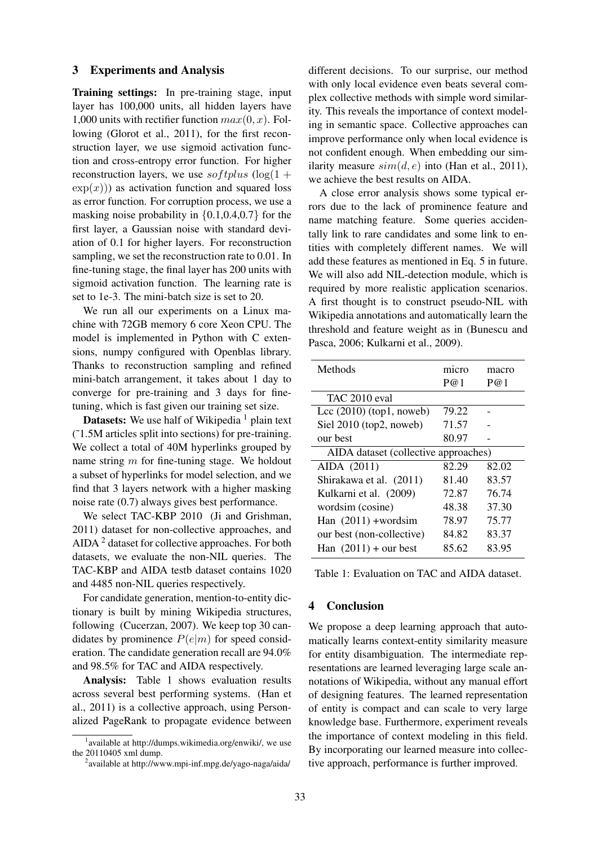### 3 Experiments and Analysis

Training settings: In pre-training stage, input layer has 100,000 units, all hidden layers have 1,000 units with rectifier function  $max(0, x)$ . Following (Glorot et al., 2011), for the first reconstruction layer, we use sigmoid activation function and cross-entropy error function. For higher reconstruction layers, we use softplus  $(\log(1 +$  $\exp(x)$ ) as activation function and squared loss as error function. For corruption process, we use a masking noise probability in  $\{0.1, 0.4, 0.7\}$  for the first layer, a Gaussian noise with standard deviation of 0.1 for higher layers. For reconstruction sampling, we set the reconstruction rate to 0.01. In fine-tuning stage, the final layer has 200 units with sigmoid activation function. The learning rate is set to 1e-3. The mini-batch size is set to 20.

We run all our experiments on a Linux machine with 72GB memory 6 core Xeon CPU. The model is implemented in Python with C extensions, numpy configured with Openblas library. Thanks to reconstruction sampling and refined mini-batch arrangement, it takes about 1 day to converge for pre-training and 3 days for finetuning, which is fast given our training set size.

**Datasets:** We use half of Wikipedia  $\frac{1}{1}$  plain text (˜1.5M articles split into sections) for pre-training. We collect a total of 40M hyperlinks grouped by name string  $m$  for fine-tuning stage. We holdout a subset of hyperlinks for model selection, and we find that 3 layers network with a higher masking noise rate (0.7) always gives best performance.

We select TAC-KBP 2010 (Ji and Grishman, 2011) dataset for non-collective approaches, and AIDA <sup>2</sup> dataset for collective approaches. For both datasets, we evaluate the non-NIL queries. The TAC-KBP and AIDA testb dataset contains 1020 and 4485 non-NIL queries respectively.

For candidate generation, mention-to-entity dictionary is built by mining Wikipedia structures, following (Cucerzan, 2007). We keep top 30 candidates by prominence  $P(e|m)$  for speed consideration. The candidate generation recall are 94.0% and 98.5% for TAC and AIDA respectively.

Analysis: Table 1 shows evaluation results across several best performing systems. (Han et al., 2011) is a collective approach, using Personalized PageRank to propagate evidence between

different decisions. To our surprise, our method with only local evidence even beats several complex collective methods with simple word similarity. This reveals the importance of context modeling in semantic space. Collective approaches can improve performance only when local evidence is not confident enough. When embedding our similarity measure  $sim(d, e)$  into (Han et al., 2011), we achieve the best results on AIDA.

A close error analysis shows some typical errors due to the lack of prominence feature and name matching feature. Some queries accidentally link to rare candidates and some link to entities with completely different names. We will add these features as mentioned in Eq. 5 in future. We will also add NIL-detection module, which is required by more realistic application scenarios. A first thought is to construct pseudo-NIL with Wikipedia annotations and automatically learn the threshold and feature weight as in (Bunescu and Pasca, 2006; Kulkarni et al., 2009).

| Methods                              | micro | macro |
|--------------------------------------|-------|-------|
|                                      | P@1   | P@1   |
| TAC 2010 eval                        |       |       |
| Lcc $(2010)$ (top1, noweb)           | 79.22 |       |
| Siel 2010 (top2, noweb)              | 71.57 |       |
| our best                             | 80.97 |       |
| AIDA dataset (collective approaches) |       |       |
| AIDA (2011)                          | 82.29 | 82.02 |
| Shirakawa et al. (2011)              | 81.40 | 83.57 |
| Kulkarni et al. (2009)               | 72.87 | 76.74 |
| wordsim (cosine)                     | 48.38 | 37.30 |
| Han $(2011)$ +wordsim                | 78.97 | 75.77 |
| our best (non-collective)            | 84.82 | 83.37 |
| Han $(2011)$ + our best              | 85.62 | 83.95 |
|                                      |       |       |

Table 1: Evaluation on TAC and AIDA dataset.

### 4 Conclusion

We propose a deep learning approach that automatically learns context-entity similarity measure for entity disambiguation. The intermediate representations are learned leveraging large scale annotations of Wikipedia, without any manual effort of designing features. The learned representation of entity is compact and can scale to very large knowledge base. Furthermore, experiment reveals the importance of context modeling in this field. By incorporating our learned measure into collective approach, performance is further improved.

<sup>&</sup>lt;sup>1</sup> available at http://dumps.wikimedia.org/enwiki/, we use the 20110405 xml dump.

<sup>&</sup>lt;sup>2</sup> available at http://www.mpi-inf.mpg.de/yago-naga/aida/